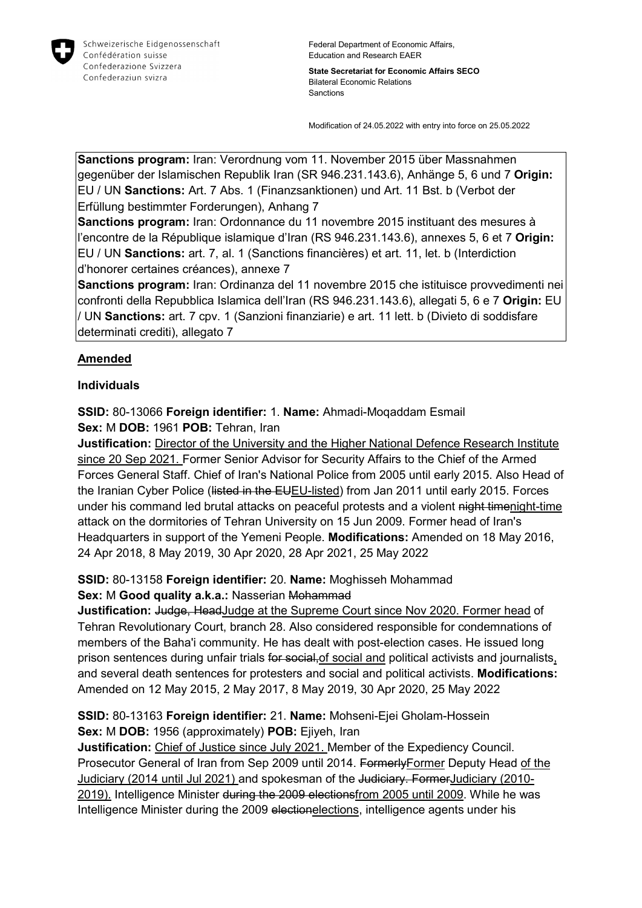

**State Secretariat for Economic Affairs SECO** Bilateral Economic Relations Sanctions

Modification of 24.05.2022 with entry into force on 25.05.2022

**Sanctions program:** Iran: Verordnung vom 11. November 2015 über Massnahmen gegenüber der Islamischen Republik Iran (SR 946.231.143.6), Anhänge 5, 6 und 7 **Origin:** EU / UN **Sanctions:** Art. 7 Abs. 1 (Finanzsanktionen) und Art. 11 Bst. b (Verbot der Erfüllung bestimmter Forderungen), Anhang 7

**Sanctions program:** Iran: Ordonnance du 11 novembre 2015 instituant des mesures à l'encontre de la République islamique d'Iran (RS 946.231.143.6), annexes 5, 6 et 7 **Origin:** EU / UN **Sanctions:** art. 7, al. 1 (Sanctions financières) et art. 11, let. b (Interdiction d'honorer certaines créances), annexe 7

**Sanctions program:** Iran: Ordinanza del 11 novembre 2015 che istituisce provvedimenti nei confronti della Repubblica Islamica dell'Iran (RS 946.231.143.6), allegati 5, 6 e 7 **Origin:** EU / UN **Sanctions:** art. 7 cpv. 1 (Sanzioni finanziarie) e art. 11 lett. b (Divieto di soddisfare determinati crediti), allegato 7

# **Amended**

### **Individuals**

**SSID:** 80-13066 **Foreign identifier:** 1. **Name:** Ahmadi-Moqaddam Esmail **Sex:** M **DOB:** 1961 **POB:** Tehran, Iran

**Justification:** Director of the University and the Higher National Defence Research Institute since 20 Sep 2021. Former Senior Advisor for Security Affairs to the Chief of the Armed Forces General Staff. Chief of Iran's National Police from 2005 until early 2015. Also Head of the Iranian Cyber Police (Histed in the EUEU-listed) from Jan 2011 until early 2015. Forces under his command led brutal attacks on peaceful protests and a violent night timenight-time attack on the dormitories of Tehran University on 15 Jun 2009. Former head of Iran's Headquarters in support of the Yemeni People. **Modifications:** Amended on 18 May 2016, 24 Apr 2018, 8 May 2019, 30 Apr 2020, 28 Apr 2021, 25 May 2022

## **SSID:** 80-13158 **Foreign identifier:** 20. **Name:** Moghisseh Mohammad **Sex:** M **Good quality a.k.a.:** Nasserian Mohammad

**Justification: Judge, Head Judge at the Supreme Court since Nov 2020. Former head of** Tehran Revolutionary Court, branch 28. Also considered responsible for condemnations of members of the Baha'i community. He has dealt with post-election cases. He issued long prison sentences during unfair trials for social-of social and political activists and journalists, and several death sentences for protesters and social and political activists. **Modifications:**  Amended on 12 May 2015, 2 May 2017, 8 May 2019, 30 Apr 2020, 25 May 2022

**SSID:** 80-13163 **Foreign identifier:** 21. **Name:** Mohseni-Ejei Gholam-Hossein **Sex:** M **DOB:** 1956 (approximately) **POB:** Ejiyeh, Iran

**Justification:** Chief of Justice since July 2021. Member of the Expediency Council. Prosecutor General of Iran from Sep 2009 until 2014. Formerly Former Deputy Head of the Judiciary (2014 until Jul 2021) and spokesman of the Judiciary. FormerJudiciary (2010- 2019). Intelligence Minister during the 2009 electionsfrom 2005 until 2009. While he was Intelligence Minister during the 2009 electionelections, intelligence agents under his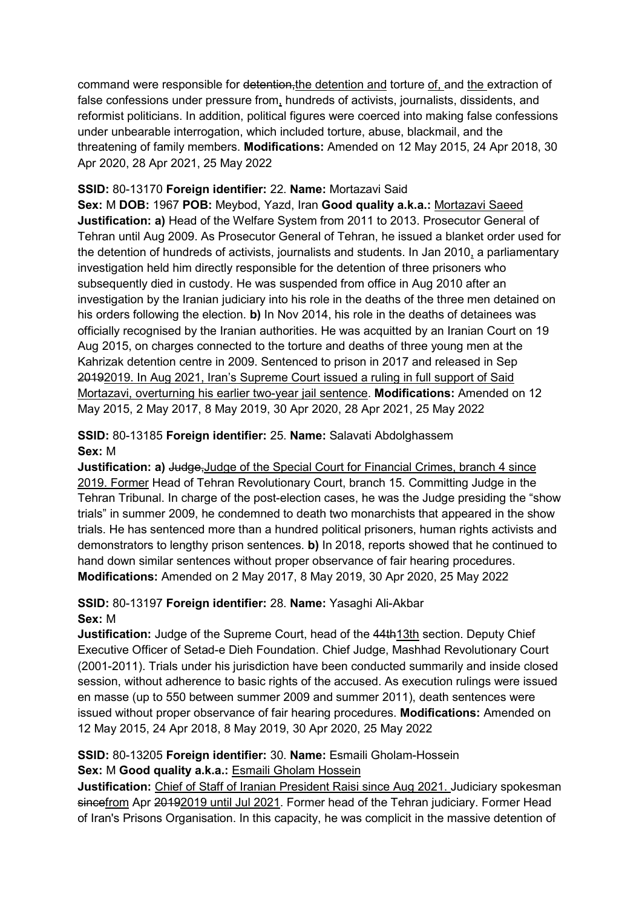command were responsible for detention, the detention and torture of, and the extraction of false confessions under pressure from, hundreds of activists, journalists, dissidents, and reformist politicians. In addition, political figures were coerced into making false confessions under unbearable interrogation, which included torture, abuse, blackmail, and the threatening of family members. **Modifications:** Amended on 12 May 2015, 24 Apr 2018, 30 Apr 2020, 28 Apr 2021, 25 May 2022

#### **SSID:** 80-13170 **Foreign identifier:** 22. **Name:** Mortazavi Said

**Sex:** M **DOB:** 1967 **POB:** Meybod, Yazd, Iran **Good quality a.k.a.:** Mortazavi Saeed **Justification: a)** Head of the Welfare System from 2011 to 2013. Prosecutor General of Tehran until Aug 2009. As Prosecutor General of Tehran, he issued a blanket order used for the detention of hundreds of activists, journalists and students. In Jan 2010, a parliamentary investigation held him directly responsible for the detention of three prisoners who subsequently died in custody. He was suspended from office in Aug 2010 after an investigation by the Iranian judiciary into his role in the deaths of the three men detained on his orders following the election. **b)** In Nov 2014, his role in the deaths of detainees was officially recognised by the Iranian authorities. He was acquitted by an Iranian Court on 19 Aug 2015, on charges connected to the torture and deaths of three young men at the Kahrizak detention centre in 2009. Sentenced to prison in 2017 and released in Sep 20192019. In Aug 2021, Iran's Supreme Court issued a ruling in full support of Said Mortazavi, overturning his earlier two-year jail sentence. **Modifications:** Amended on 12 May 2015, 2 May 2017, 8 May 2019, 30 Apr 2020, 28 Apr 2021, 25 May 2022

### **SSID:** 80-13185 **Foreign identifier:** 25. **Name:** Salavati Abdolghassem **Sex:** M

**Justification: a)** Judge,Judge of the Special Court for Financial Crimes, branch 4 since 2019. Former Head of Tehran Revolutionary Court, branch 15. Committing Judge in the Tehran Tribunal. In charge of the post-election cases, he was the Judge presiding the "show trials" in summer 2009, he condemned to death two monarchists that appeared in the show trials. He has sentenced more than a hundred political prisoners, human rights activists and demonstrators to lengthy prison sentences. **b)** In 2018, reports showed that he continued to hand down similar sentences without proper observance of fair hearing procedures. **Modifications:** Amended on 2 May 2017, 8 May 2019, 30 Apr 2020, 25 May 2022

### **SSID:** 80-13197 **Foreign identifier:** 28. **Name:** Yasaghi Ali-Akbar **Sex:** M

**Justification:** Judge of the Supreme Court, head of the 44th13th section. Deputy Chief Executive Officer of Setad-e Dieh Foundation. Chief Judge, Mashhad Revolutionary Court (2001-2011). Trials under his jurisdiction have been conducted summarily and inside closed session, without adherence to basic rights of the accused. As execution rulings were issued en masse (up to 550 between summer 2009 and summer 2011), death sentences were issued without proper observance of fair hearing procedures. **Modifications:** Amended on 12 May 2015, 24 Apr 2018, 8 May 2019, 30 Apr 2020, 25 May 2022

## **SSID:** 80-13205 **Foreign identifier:** 30. **Name:** Esmaili Gholam-Hossein **Sex:** M **Good quality a.k.a.:** Esmaili Gholam Hossein

**Justification:** Chief of Staff of Iranian President Raisi since Aug 2021. Judiciary spokesman sincefrom Apr 20192019 until Jul 2021. Former head of the Tehran judiciary. Former Head of Iran's Prisons Organisation. In this capacity, he was complicit in the massive detention of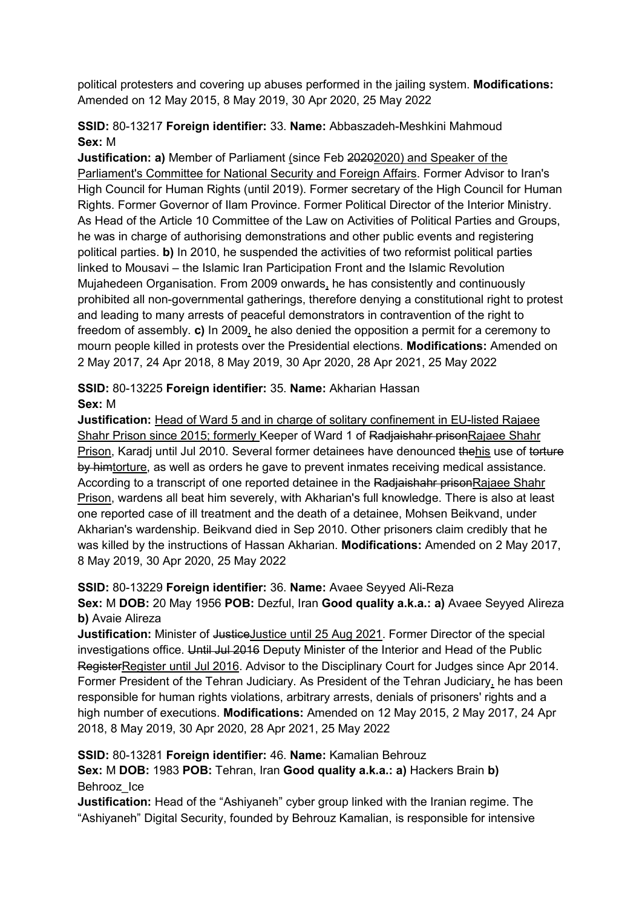political protesters and covering up abuses performed in the jailing system. **Modifications:**  Amended on 12 May 2015, 8 May 2019, 30 Apr 2020, 25 May 2022

### **SSID:** 80-13217 **Foreign identifier:** 33. **Name:** Abbaszadeh-Meshkini Mahmoud **Sex:** M

**Justification: a)** Member of Parliament (since Feb 20202020) and Speaker of the Parliament's Committee for National Security and Foreign Affairs. Former Advisor to Iran's High Council for Human Rights (until 2019). Former secretary of the High Council for Human Rights. Former Governor of Ilam Province. Former Political Director of the Interior Ministry. As Head of the Article 10 Committee of the Law on Activities of Political Parties and Groups, he was in charge of authorising demonstrations and other public events and registering political parties. **b)** In 2010, he suspended the activities of two reformist political parties linked to Mousavi – the Islamic Iran Participation Front and the Islamic Revolution Mujahedeen Organisation. From 2009 onwards, he has consistently and continuously prohibited all non-governmental gatherings, therefore denying a constitutional right to protest and leading to many arrests of peaceful demonstrators in contravention of the right to freedom of assembly. **c)** In 2009, he also denied the opposition a permit for a ceremony to mourn people killed in protests over the Presidential elections. **Modifications:** Amended on 2 May 2017, 24 Apr 2018, 8 May 2019, 30 Apr 2020, 28 Apr 2021, 25 May 2022

### **SSID:** 80-13225 **Foreign identifier:** 35. **Name:** Akharian Hassan **Sex:** M

**Justification:** Head of Ward 5 and in charge of solitary confinement in EU-listed Rajaee Shahr Prison since 2015; formerly Keeper of Ward 1 of Radjaishahr prisonRajaee Shahr Prison, Karadj until Jul 2010. Several former detainees have denounced thehis use of torture by himtorture, as well as orders he gave to prevent inmates receiving medical assistance. According to a transcript of one reported detainee in the Radjaishahr prisonRajaee Shahr Prison, wardens all beat him severely, with Akharian's full knowledge. There is also at least one reported case of ill treatment and the death of a detainee, Mohsen Beikvand, under Akharian's wardenship. Beikvand died in Sep 2010. Other prisoners claim credibly that he was killed by the instructions of Hassan Akharian. **Modifications:** Amended on 2 May 2017, 8 May 2019, 30 Apr 2020, 25 May 2022

### **SSID:** 80-13229 **Foreign identifier:** 36. **Name:** Avaee Seyyed Ali-Reza

**Sex:** M **DOB:** 20 May 1956 **POB:** Dezful, Iran **Good quality a.k.a.: a)** Avaee Seyyed Alireza **b)** Avaie Alireza

**Justification:** Minister of JusticeJustice until 25 Aug 2021. Former Director of the special investigations office. Until Jul 2016 Deputy Minister of the Interior and Head of the Public RegisterRegister until Jul 2016. Advisor to the Disciplinary Court for Judges since Apr 2014. Former President of the Tehran Judiciary. As President of the Tehran Judiciary, he has been responsible for human rights violations, arbitrary arrests, denials of prisoners' rights and a high number of executions. **Modifications:** Amended on 12 May 2015, 2 May 2017, 24 Apr 2018, 8 May 2019, 30 Apr 2020, 28 Apr 2021, 25 May 2022

# **SSID:** 80-13281 **Foreign identifier:** 46. **Name:** Kamalian Behrouz

**Sex:** M **DOB:** 1983 **POB:** Tehran, Iran **Good quality a.k.a.: a)** Hackers Brain **b)**  Behrooz\_Ice

**Justification:** Head of the "Ashiyaneh" cyber group linked with the Iranian regime. The "Ashiyaneh" Digital Security, founded by Behrouz Kamalian, is responsible for intensive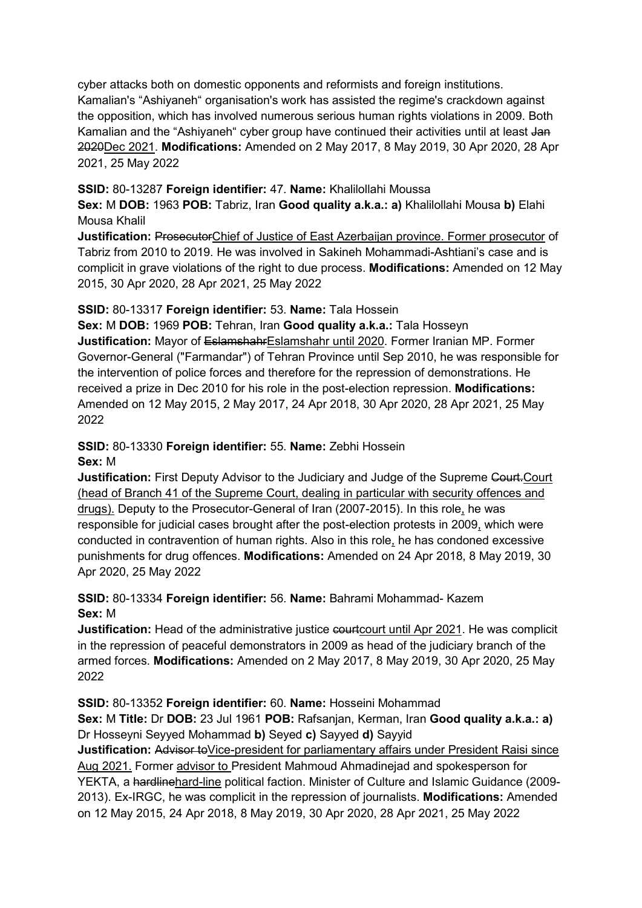cyber attacks both on domestic opponents and reformists and foreign institutions. Kamalian's "Ashiyaneh" organisation's work has assisted the regime's crackdown against the opposition, which has involved numerous serious human rights violations in 2009. Both Kamalian and the "Ashiyaneh" cyber group have continued their activities until at least Jan 2020Dec 2021. **Modifications:** Amended on 2 May 2017, 8 May 2019, 30 Apr 2020, 28 Apr 2021, 25 May 2022

#### **SSID:** 80-13287 **Foreign identifier:** 47. **Name:** Khalilollahi Moussa

**Sex:** M **DOB:** 1963 **POB:** Tabriz, Iran **Good quality a.k.a.: a)** Khalilollahi Mousa **b)** Elahi Mousa Khalil

**Justification:** ProsecutorChief of Justice of East Azerbaijan province. Former prosecutor of Tabriz from 2010 to 2019. He was involved in Sakineh Mohammadi-Ashtiani's case and is complicit in grave violations of the right to due process. **Modifications:** Amended on 12 May 2015, 30 Apr 2020, 28 Apr 2021, 25 May 2022

### **SSID:** 80-13317 **Foreign identifier:** 53. **Name:** Tala Hossein

**Sex:** M **DOB:** 1969 **POB:** Tehran, Iran **Good quality a.k.a.:** Tala Hosseyn **Justification:** Mayor of EslamshahrEslamshahr until 2020. Former Iranian MP. Former Governor-General ("Farmandar") of Tehran Province until Sep 2010, he was responsible for the intervention of police forces and therefore for the repression of demonstrations. He received a prize in Dec 2010 for his role in the post-election repression. **Modifications:**  Amended on 12 May 2015, 2 May 2017, 24 Apr 2018, 30 Apr 2020, 28 Apr 2021, 25 May 2022

#### **SSID:** 80-13330 **Foreign identifier:** 55. **Name:** Zebhi Hossein **Sex:** M

**Justification:** First Deputy Advisor to the Judiciary and Judge of the Supreme Court. Court (head of Branch 41 of the Supreme Court, dealing in particular with security offences and drugs). Deputy to the Prosecutor-General of Iran (2007-2015). In this role, he was responsible for judicial cases brought after the post-election protests in 2009, which were conducted in contravention of human rights. Also in this role, he has condoned excessive punishments for drug offences. **Modifications:** Amended on 24 Apr 2018, 8 May 2019, 30 Apr 2020, 25 May 2022

### **SSID:** 80-13334 **Foreign identifier:** 56. **Name:** Bahrami Mohammad- Kazem **Sex:** M

**Justification:** Head of the administrative justice courtcourt until Apr 2021. He was complicit in the repression of peaceful demonstrators in 2009 as head of the judiciary branch of the armed forces. **Modifications:** Amended on 2 May 2017, 8 May 2019, 30 Apr 2020, 25 May 2022

### **SSID:** 80-13352 **Foreign identifier:** 60. **Name:** Hosseini Mohammad

**Sex:** M **Title:** Dr **DOB:** 23 Jul 1961 **POB:** Rafsanjan, Kerman, Iran **Good quality a.k.a.: a)**  Dr Hosseyni Seyyed Mohammad **b)** Seyed **c)** Sayyed **d)** Sayyid

**Justification:** Advisor to Vice-president for parliamentary affairs under President Raisi since Aug 2021. Former advisor to President Mahmoud Ahmadinejad and spokesperson for YEKTA, a hardlinehard-line political faction. Minister of Culture and Islamic Guidance (2009- 2013). Ex-IRGC, he was complicit in the repression of journalists. **Modifications:** Amended on 12 May 2015, 24 Apr 2018, 8 May 2019, 30 Apr 2020, 28 Apr 2021, 25 May 2022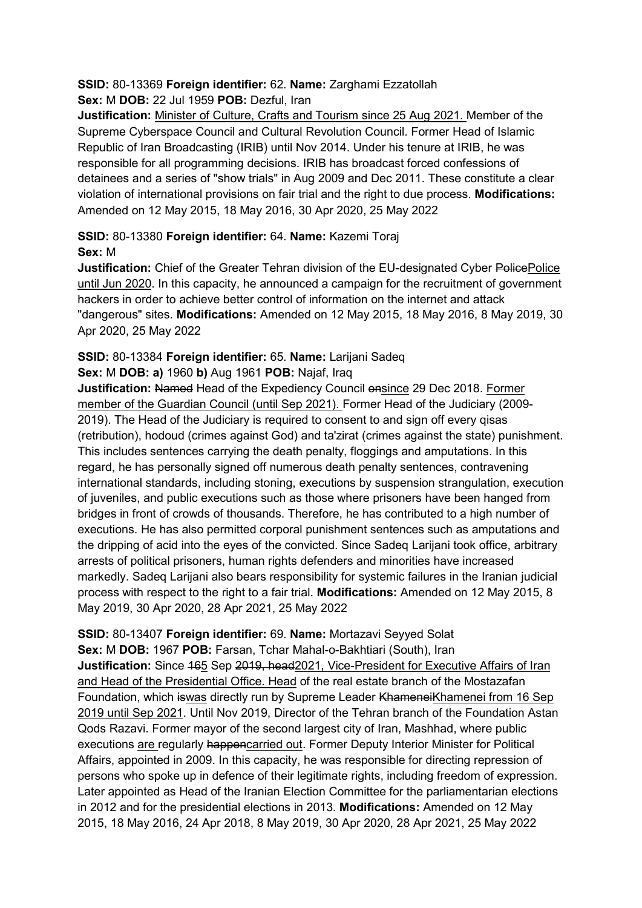#### **SSID:** 80-13369 **Foreign identifier:** 62. **Name:** Zarghami Ezzatollah **Sex:** M **DOB:** 22 Jul 1959 **POB:** Dezful, Iran

**Justification:** Minister of Culture, Crafts and Tourism since 25 Aug 2021. Member of the Supreme Cyberspace Council and Cultural Revolution Council. Former Head of Islamic Republic of Iran Broadcasting (IRIB) until Nov 2014. Under his tenure at IRIB, he was responsible for all programming decisions. IRIB has broadcast forced confessions of detainees and a series of "show trials" in Aug 2009 and Dec 2011. These constitute a clear violation of international provisions on fair trial and the right to due process. **Modifications:**  Amended on 12 May 2015, 18 May 2016, 30 Apr 2020, 25 May 2022

## **SSID:** 80-13380 **Foreign identifier:** 64. **Name:** Kazemi Toraj **Sex:** M

**Justification:** Chief of the Greater Tehran division of the EU-designated Cyber PolicePolice until Jun 2020. In this capacity, he announced a campaign for the recruitment of government hackers in order to achieve better control of information on the internet and attack "dangerous" sites. **Modifications:** Amended on 12 May 2015, 18 May 2016, 8 May 2019, 30 Apr 2020, 25 May 2022

## **SSID:** 80-13384 **Foreign identifier:** 65. **Name:** Larijani Sadeq **Sex:** M **DOB: a)** 1960 **b)** Aug 1961 **POB:** Najaf, Iraq

**Justification: Named Head of the Expediency Council ensince 29 Dec 2018. Former** member of the Guardian Council (until Sep 2021). Former Head of the Judiciary (2009- 2019). The Head of the Judiciary is required to consent to and sign off every qisas (retribution), hodoud (crimes against God) and ta'zirat (crimes against the state) punishment. This includes sentences carrying the death penalty, floggings and amputations. In this regard, he has personally signed off numerous death penalty sentences, contravening international standards, including stoning, executions by suspension strangulation, execution of juveniles, and public executions such as those where prisoners have been hanged from bridges in front of crowds of thousands. Therefore, he has contributed to a high number of executions. He has also permitted corporal punishment sentences such as amputations and the dripping of acid into the eyes of the convicted. Since Sadeq Larijani took office, arbitrary arrests of political prisoners, human rights defenders and minorities have increased markedly. Sadeq Larijani also bears responsibility for systemic failures in the Iranian judicial process with respect to the right to a fair trial. **Modifications:** Amended on 12 May 2015, 8 May 2019, 30 Apr 2020, 28 Apr 2021, 25 May 2022

**SSID:** 80-13407 **Foreign identifier:** 69. **Name:** Mortazavi Seyyed Solat **Sex:** M **DOB:** 1967 **POB:** Farsan, Tchar Mahal-o-Bakhtiari (South), Iran **Justification:** Since 465 Sep 2019, head2021, Vice-President for Executive Affairs of Iran and Head of the Presidential Office. Head of the real estate branch of the Mostazafan Foundation, which is was directly run by Supreme Leader KhameneiKhamenei from 16 Sep 2019 until Sep 2021. Until Nov 2019, Director of the Tehran branch of the Foundation Astan Qods Razavi. Former mayor of the second largest city of Iran, Mashhad, where public executions are regularly happencarried out. Former Deputy Interior Minister for Political Affairs, appointed in 2009. In this capacity, he was responsible for directing repression of persons who spoke up in defence of their legitimate rights, including freedom of expression. Later appointed as Head of the Iranian Election Committee for the parliamentarian elections in 2012 and for the presidential elections in 2013. **Modifications:** Amended on 12 May 2015, 18 May 2016, 24 Apr 2018, 8 May 2019, 30 Apr 2020, 28 Apr 2021, 25 May 2022